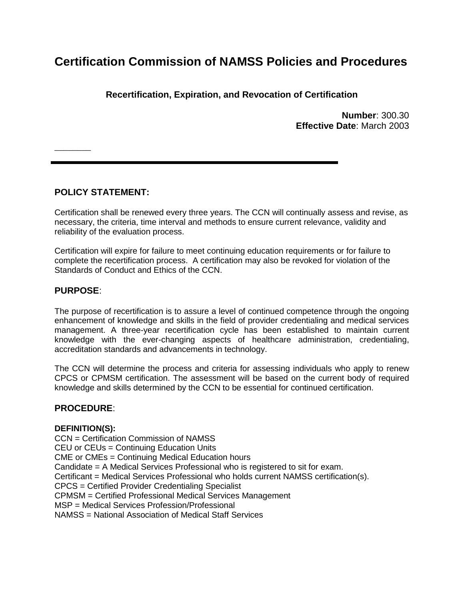# **Certification Commission of NAMSS Policies and Procedures**

**Recertification, Expiration, and Revocation of Certification**

**Number**: 300.30 **Effective Date**: March 2003

## **POLICY STATEMENT:**

Certification shall be renewed every three years. The CCN will continually assess and revise, as necessary, the criteria, time interval and methods to ensure current relevance, validity and reliability of the evaluation process.

Certification will expire for failure to meet continuing education requirements or for failure to complete the recertification process. A certification may also be revoked for violation of the Standards of Conduct and Ethics of the CCN.

## **PURPOSE**:

 $\overline{\phantom{a}}$  . The set of the set of the set of the set of the set of the set of the set of the set of the set of the set of the set of the set of the set of the set of the set of the set of the set of the set of the set o

The purpose of recertification is to assure a level of continued competence through the ongoing enhancement of knowledge and skills in the field of provider credentialing and medical services management. A three-year recertification cycle has been established to maintain current knowledge with the ever-changing aspects of healthcare administration, credentialing, accreditation standards and advancements in technology.

The CCN will determine the process and criteria for assessing individuals who apply to renew CPCS or CPMSM certification. The assessment will be based on the current body of required knowledge and skills determined by the CCN to be essential for continued certification.

## **PROCEDURE**:

## **DEFINITION(S):**

CCN = Certification Commission of NAMSS CEU or CEUs = Continuing Education Units CME or CMEs = Continuing Medical Education hours Candidate = A Medical Services Professional who is registered to sit for exam. Certificant = Medical Services Professional who holds current NAMSS certification(s). CPCS = Certified Provider Credentialing Specialist CPMSM = Certified Professional Medical Services Management MSP = Medical Services Profession/Professional NAMSS = National Association of Medical Staff Services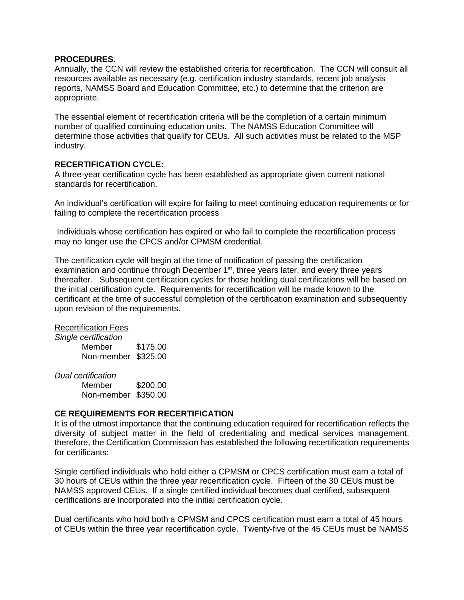#### **PROCEDURES**:

Annually, the CCN will review the established criteria for recertification. The CCN will consult all resources available as necessary (e.g. certification industry standards, recent job analysis reports, NAMSS Board and Education Committee, etc.) to determine that the criterion are appropriate.

The essential element of recertification criteria will be the completion of a certain minimum number of qualified continuing education units. The NAMSS Education Committee will determine those activities that qualify for CEUs. All such activities must be related to the MSP industry.

#### **RECERTIFICATION CYCLE:**

A three-year certification cycle has been established as appropriate given current national standards for recertification.

An individual's certification will expire for failing to meet continuing education requirements or for failing to complete the recertification process

Individuals whose certification has expired or who fail to complete the recertification process may no longer use the CPCS and/or CPMSM credential.

The certification cycle will begin at the time of notification of passing the certification examination and continue through December 1<sup>st</sup>, three years later, and every three years thereafter. Subsequent certification cycles for those holding dual certifications will be based on the initial certification cycle. Requirements for recertification will be made known to the certificant at the time of successful completion of the certification examination and subsequently upon revision of the requirements.

#### Recertification Fees

*Single certification* Member \$175.00 Non-member \$325.00

*Dual certification*

Member \$200.00 Non-member \$350.00

#### **CE REQUIREMENTS FOR RECERTIFICATION**

It is of the utmost importance that the continuing education required for recertification reflects the diversity of subject matter in the field of credentialing and medical services management, therefore, the Certification Commission has established the following recertification requirements for certificants:

Single certified individuals who hold either a CPMSM or CPCS certification must earn a total of 30 hours of CEUs within the three year recertification cycle. Fifteen of the 30 CEUs must be NAMSS approved CEUs. If a single certified individual becomes dual certified, subsequent certifications are incorporated into the initial certification cycle.

Dual certificants who hold both a CPMSM and CPCS certification must earn a total of 45 hours of CEUs within the three year recertification cycle. Twenty-five of the 45 CEUs must be NAMSS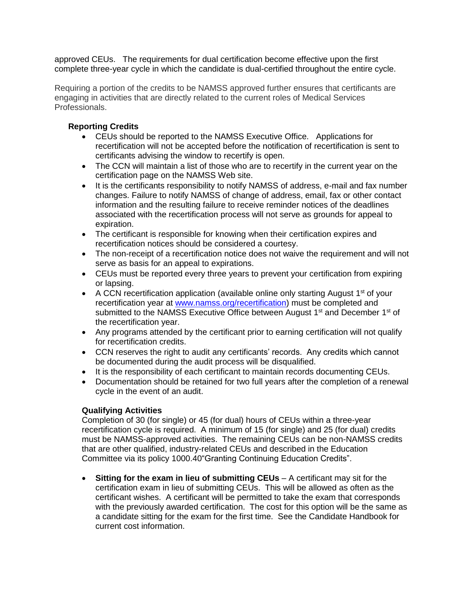approved CEUs. The requirements for dual certification become effective upon the first complete three-year cycle in which the candidate is dual-certified throughout the entire cycle.

Requiring a portion of the credits to be NAMSS approved further ensures that certificants are engaging in activities that are directly related to the current roles of Medical Services Professionals.

## **Reporting Credits**

- CEUs should be reported to the NAMSS Executive Office. Applications for recertification will not be accepted before the notification of recertification is sent to certificants advising the window to recertify is open.
- The CCN will maintain a list of those who are to recertify in the current year on the certification page on the NAMSS Web site.
- It is the certificants responsibility to notify NAMSS of address, e-mail and fax number changes. Failure to notify NAMSS of change of address, email, fax or other contact information and the resulting failure to receive reminder notices of the deadlines associated with the recertification process will not serve as grounds for appeal to expiration.
- The certificant is responsible for knowing when their certification expires and recertification notices should be considered a courtesy.
- The non-receipt of a recertification notice does not waive the requirement and will not serve as basis for an appeal to expirations.
- CEUs must be reported every three years to prevent your certification from expiring or lapsing.
- A CCN recertification application (available online only starting August  $1<sup>st</sup>$  of your recertification year at [www.namss.org/](http://www.namss.org/)recertification) must be completed and submitted to the NAMSS Executive Office between August 1<sup>st</sup> and December 1<sup>st</sup> of the recertification year.
- Any programs attended by the certificant prior to earning certification will not qualify for recertification credits.
- CCN reserves the right to audit any certificants' records. Any credits which cannot be documented during the audit process will be disqualified.
- It is the responsibility of each certificant to maintain records documenting CEUs.
- Documentation should be retained for two full years after the completion of a renewal cycle in the event of an audit.

## **Qualifying Activities**

Completion of 30 (for single) or 45 (for dual) hours of CEUs within a three-year recertification cycle is required. A minimum of 15 (for single) and 25 (for dual) credits must be NAMSS-approved activities. The remaining CEUs can be non-NAMSS credits that are other qualified, industry-related CEUs and described in the Education Committee via its policy 1000.40"Granting Continuing Education Credits".

 **Sitting for the exam in lieu of submitting CEUs** – A certificant may sit for the certification exam in lieu of submitting CEUs. This will be allowed as often as the certificant wishes. A certificant will be permitted to take the exam that corresponds with the previously awarded certification. The cost for this option will be the same as a candidate sitting for the exam for the first time. See the Candidate Handbook for current cost information.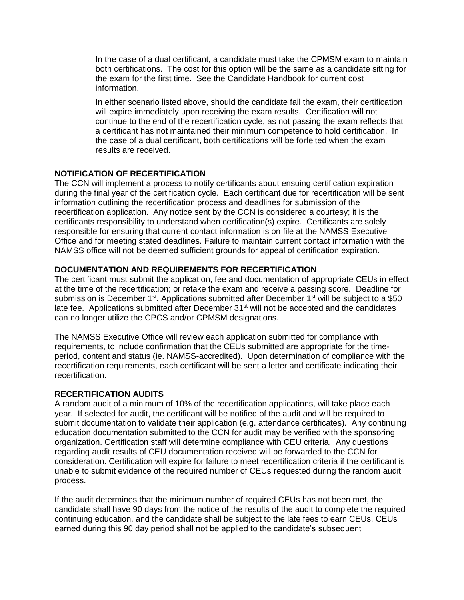In the case of a dual certificant, a candidate must take the CPMSM exam to maintain both certifications. The cost for this option will be the same as a candidate sitting for the exam for the first time. See the Candidate Handbook for current cost information.

In either scenario listed above, should the candidate fail the exam, their certification will expire immediately upon receiving the exam results. Certification will not continue to the end of the recertification cycle, as not passing the exam reflects that a certificant has not maintained their minimum competence to hold certification. In the case of a dual certificant, both certifications will be forfeited when the exam results are received.

## **NOTIFICATION OF RECERTIFICATION**

The CCN will implement a process to notify certificants about ensuing certification expiration during the final year of the certification cycle. Each certificant due for recertification will be sent information outlining the recertification process and deadlines for submission of the recertification application. Any notice sent by the CCN is considered a courtesy; it is the certificants responsibility to understand when certification(s) expire. Certificants are solely responsible for ensuring that current contact information is on file at the NAMSS Executive Office and for meeting stated deadlines. Failure to maintain current contact information with the NAMSS office will not be deemed sufficient grounds for appeal of certification expiration.

#### **DOCUMENTATION AND REQUIREMENTS FOR RECERTIFICATION**

The certificant must submit the application, fee and documentation of appropriate CEUs in effect at the time of the recertification; or retake the exam and receive a passing score. Deadline for submission is December 1<sup>st</sup>. Applications submitted after December 1<sup>st</sup> will be subject to a \$50 late fee. Applications submitted after December 31<sup>st</sup> will not be accepted and the candidates can no longer utilize the CPCS and/or CPMSM designations.

The NAMSS Executive Office will review each application submitted for compliance with requirements, to include confirmation that the CEUs submitted are appropriate for the timeperiod, content and status (ie. NAMSS-accredited). Upon determination of compliance with the recertification requirements, each certificant will be sent a letter and certificate indicating their recertification.

#### **RECERTIFICATION AUDITS**

A random audit of a minimum of 10% of the recertification applications, will take place each year. If selected for audit, the certificant will be notified of the audit and will be required to submit documentation to validate their application (e.g. attendance certificates). Any continuing education documentation submitted to the CCN for audit may be verified with the sponsoring organization. Certification staff will determine compliance with CEU criteria. Any questions regarding audit results of CEU documentation received will be forwarded to the CCN for consideration. Certification will expire for failure to meet recertification criteria if the certificant is unable to submit evidence of the required number of CEUs requested during the random audit process.

If the audit determines that the minimum number of required CEUs has not been met, the candidate shall have 90 days from the notice of the results of the audit to complete the required continuing education, and the candidate shall be subject to the late fees to earn CEUs. CEUs earned during this 90 day period shall not be applied to the candidate's subsequent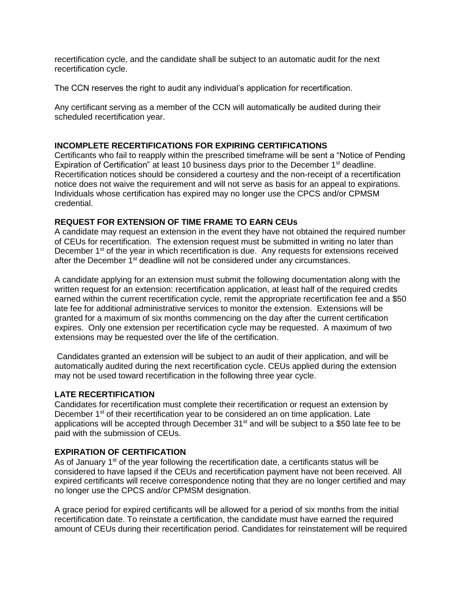recertification cycle, and the candidate shall be subject to an automatic audit for the next recertification cycle.

The CCN reserves the right to audit any individual's application for recertification.

Any certificant serving as a member of the CCN will automatically be audited during their scheduled recertification year.

## **INCOMPLETE RECERTIFICATIONS FOR EXPIRING CERTIFICATIONS**

Certificants who fail to reapply within the prescribed timeframe will be sent a "Notice of Pending Expiration of Certification" at least 10 business days prior to the December 1<sup>st</sup> deadline. Recertification notices should be considered a courtesy and the non-receipt of a recertification notice does not waive the requirement and will not serve as basis for an appeal to expirations. Individuals whose certification has expired may no longer use the CPCS and/or CPMSM credential.

## **REQUEST FOR EXTENSION OF TIME FRAME TO EARN CEUs**

A candidate may request an extension in the event they have not obtained the required number of CEUs for recertification. The extension request must be submitted in writing no later than December 1<sup>st</sup> of the year in which recertification is due. Any requests for extensions received after the December 1<sup>st</sup> deadline will not be considered under any circumstances.

A candidate applying for an extension must submit the following documentation along with the written request for an extension: recertification application, at least half of the required credits earned within the current recertification cycle, remit the appropriate recertification fee and a \$50 late fee for additional administrative services to monitor the extension. Extensions will be granted for a maximum of six months commencing on the day after the current certification expires. Only one extension per recertification cycle may be requested. A maximum of two extensions may be requested over the life of the certification.

Candidates granted an extension will be subject to an audit of their application, and will be automatically audited during the next recertification cycle. CEUs applied during the extension may not be used toward recertification in the following three year cycle.

#### **LATE RECERTIFICATION**

Candidates for recertification must complete their recertification or request an extension by December 1<sup>st</sup> of their recertification year to be considered an on time application. Late applications will be accepted through December  $31<sup>st</sup>$  and will be subject to a \$50 late fee to be paid with the submission of CEUs.

## **EXPIRATION OF CERTIFICATION**

As of January  $1<sup>st</sup>$  of the year following the recertification date, a certificants status will be considered to have lapsed if the CEUs and recertification payment have not been received. All expired certificants will receive correspondence noting that they are no longer certified and may no longer use the CPCS and/or CPMSM designation.

A grace period for expired certificants will be allowed for a period of six months from the initial recertification date. To reinstate a certification, the candidate must have earned the required amount of CEUs during their recertification period. Candidates for reinstatement will be required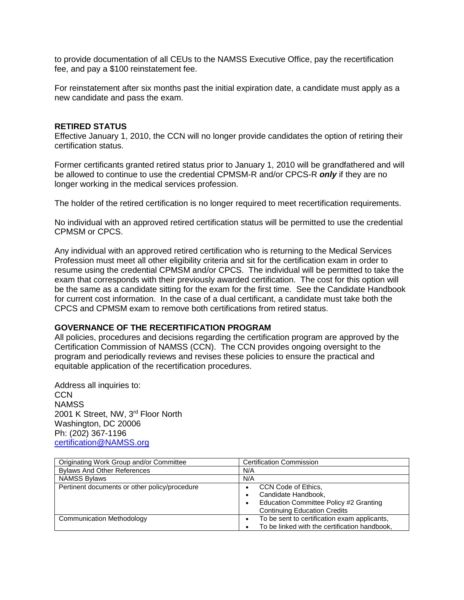to provide documentation of all CEUs to the NAMSS Executive Office, pay the recertification fee, and pay a \$100 reinstatement fee.

For reinstatement after six months past the initial expiration date, a candidate must apply as a new candidate and pass the exam.

#### **RETIRED STATUS**

Effective January 1, 2010, the CCN will no longer provide candidates the option of retiring their certification status.

Former certificants granted retired status prior to January 1, 2010 will be grandfathered and will be allowed to continue to use the credential CPMSM-R and/or CPCS-R *only* if they are no longer working in the medical services profession.

The holder of the retired certification is no longer required to meet recertification requirements.

No individual with an approved retired certification status will be permitted to use the credential CPMSM or CPCS.

Any individual with an approved retired certification who is returning to the Medical Services Profession must meet all other eligibility criteria and sit for the certification exam in order to resume using the credential CPMSM and/or CPCS. The individual will be permitted to take the exam that corresponds with their previously awarded certification. The cost for this option will be the same as a candidate sitting for the exam for the first time. See the Candidate Handbook for current cost information. In the case of a dual certificant, a candidate must take both the CPCS and CPMSM exam to remove both certifications from retired status.

#### **GOVERNANCE OF THE RECERTIFICATION PROGRAM**

All policies, procedures and decisions regarding the certification program are approved by the Certification Commission of NAMSS (CCN). The CCN provides ongoing oversight to the program and periodically reviews and revises these policies to ensure the practical and equitable application of the recertification procedures.

Address all inquiries to: **CCN** NAMSS 2001 K Street, NW, 3<sup>rd</sup> Floor North Washington, DC 20006 Ph: (202) 367-1196 [certification@NAMSS.org](mailto:certification@NAMSS.org) 

| Originating Work Group and/or Committee       | <b>Certification Commission</b>                                                                                                          |  |
|-----------------------------------------------|------------------------------------------------------------------------------------------------------------------------------------------|--|
| <b>Bylaws And Other References</b>            | N/A                                                                                                                                      |  |
| <b>NAMSS Bylaws</b>                           | N/A                                                                                                                                      |  |
| Pertinent documents or other policy/procedure | CCN Code of Ethics.<br>Candidate Handbook,<br>Education Committee Policy #2 Granting<br>$\bullet$<br><b>Continuing Education Credits</b> |  |
| Communication Methodology                     | To be sent to certification exam applicants,<br>$\bullet$<br>To be linked with the certification handbook,                               |  |